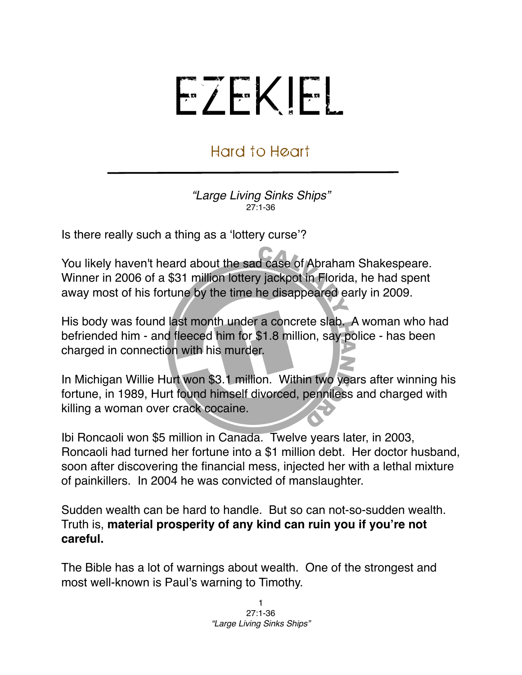## EZEKIEL

## Hard to Heart

*"Large Living Sinks Ships"* 27:1-36

Is there really such a thing as a ʻlottery curse'?

You likely haven't heard about the sad case of Abraham Shakespeare. Winner in 2006 of a \$31 million lottery jackpot in Florida, he had spent away most of his fortune by the time he disappeared early in 2009.

His body was found last month under a concrete slab. A woman who had befriended him - and fleeced him for \$1.8 million, say police - has been charged in connection with his murder.

In Michigan Willie Hurt won \$3.1 million. Within two years after winning his fortune, in 1989, Hurt found himself divorced, penniless and charged with killing a woman over crack cocaine.

Ibi Roncaoli won \$5 million in Canada. Twelve years later, in 2003, Roncaoli had turned her fortune into a \$1 million debt. Her doctor husband, soon after discovering the financial mess, injected her with a lethal mixture of painkillers. In 2004 he was convicted of manslaughter.

Sudden wealth can be hard to handle. But so can not-so-sudden wealth. Truth is, **material prosperity of any kind can ruin you if you're not careful.**

The Bible has a lot of warnings about wealth. One of the strongest and most well-known is Paul's warning to Timothy.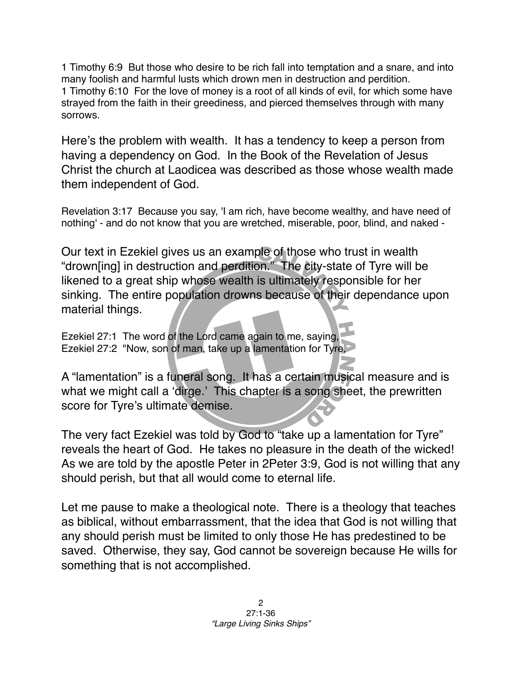1 Timothy 6:9 But those who desire to be rich fall into temptation and a snare, and into many foolish and harmful lusts which drown men in destruction and perdition. 1 Timothy 6:10 For the love of money is a root of all kinds of evil, for which some have strayed from the faith in their greediness, and pierced themselves through with many sorrows.

Here's the problem with wealth. It has a tendency to keep a person from having a dependency on God. In the Book of the Revelation of Jesus Christ the church at Laodicea was described as those whose wealth made them independent of God.

Revelation 3:17 Because you say, 'I am rich, have become wealthy, and have need of nothing' - and do not know that you are wretched, miserable, poor, blind, and naked -

Our text in Ezekiel gives us an example of those who trust in wealth "drown[ing] in destruction and perdition." The city-state of Tyre will be likened to a great ship whose wealth is ultimately responsible for her sinking. The entire population drowns because of their dependance upon material things.

Ezekiel 27:1 The word of the Lord came again to me, saying, Ezekiel 27:2 "Now, son of man, take up a lamentation for Tyre,

A "lamentation" is a funeral song. It has a certain musical measure and is what we might call a 'dirge.' This chapter is a song sheet, the prewritten score for Tyre's ultimate demise.

The very fact Ezekiel was told by God to "take up a lamentation for Tyre" reveals the heart of God. He takes no pleasure in the death of the wicked! As we are told by the apostle Peter in 2Peter 3:9, God is not willing that any should perish, but that all would come to eternal life.

Let me pause to make a theological note. There is a theology that teaches as biblical, without embarrassment, that the idea that God is not willing that any should perish must be limited to only those He has predestined to be saved. Otherwise, they say, God cannot be sovereign because He wills for something that is not accomplished.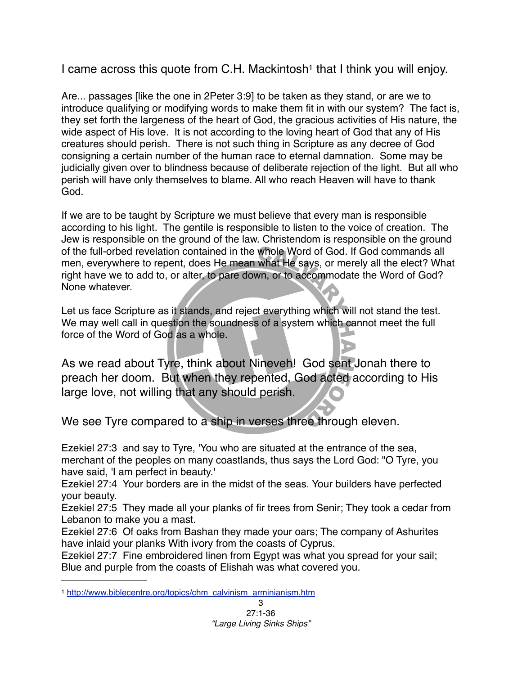I came across this quote from C.H. Mackintosh<sup>1</sup> that I think you will enjoy.

Are... passages [like the one in 2Peter 3:9] to be taken as they stand, or are we to introduce qualifying or modifying words to make them fit in with our system? The fact is, they set forth the largeness of the heart of God, the gracious activities of His nature, the wide aspect of His love. It is not according to the loving heart of God that any of His creatures should perish. There is not such thing in Scripture as any decree of God consigning a certain number of the human race to eternal damnation. Some may be judicially given over to blindness because of deliberate rejection of the light. But all who perish will have only themselves to blame. All who reach Heaven will have to thank God.

If we are to be taught by Scripture we must believe that every man is responsible according to his light. The gentile is responsible to listen to the voice of creation. The Jew is responsible on the ground of the law. Christendom is responsible on the ground of the full-orbed revelation contained in the whole Word of God. If God commands all men, everywhere to repent, does He mean what He says, or merely all the elect? What right have we to add to, or alter, to pare down, or to accommodate the Word of God? None whatever.

Let us face Scripture as it stands, and reject everything which will not stand the test. We may well call in question the soundness of a system which cannot meet the full force of the Word of God as a whole.

As we read about Tyre, think about Nineveh! God sent Jonah there to preach her doom. But when they repented, God acted according to His large love, not willing that any should perish.

We see Tyre compared to a ship in verses three through eleven.

Ezekiel 27:3 and say to Tyre, 'You who are situated at the entrance of the sea, merchant of the peoples on many coastlands, thus says the Lord God: "O Tyre, you have said, 'I am perfect in beauty.'

Ezekiel 27:4 Your borders are in the midst of the seas. Your builders have perfected your beauty.

Ezekiel 27:5 They made all your planks of fir trees from Senir; They took a cedar from Lebanon to make you a mast.

Ezekiel 27:6 Of oaks from Bashan they made your oars; The company of Ashurites have inlaid your planks With ivory from the coasts of Cyprus.

Ezekiel 27:7 Fine embroidered linen from Egypt was what you spread for your sail; Blue and purple from the coasts of Elishah was what covered you.

<span id="page-2-0"></span><sup>1</sup> [http://www.biblecentre.org/topics/chm\\_calvinism\\_arminianism.htm](http://www.biblecentre.org/topics/chm_calvinism_arminianism.htm)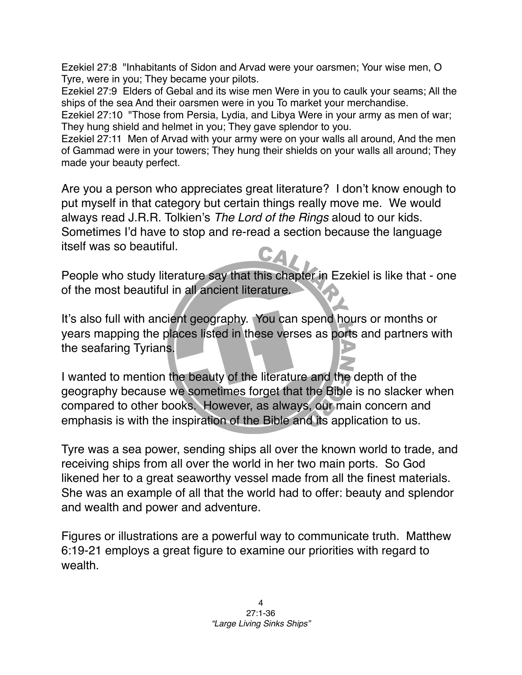Ezekiel 27:8 "Inhabitants of Sidon and Arvad were your oarsmen; Your wise men, O Tyre, were in you; They became your pilots.

Ezekiel 27:9 Elders of Gebal and its wise men Were in you to caulk your seams; All the ships of the sea And their oarsmen were in you To market your merchandise.

Ezekiel 27:10 "Those from Persia, Lydia, and Libya Were in your army as men of war; They hung shield and helmet in you; They gave splendor to you.

Ezekiel 27:11 Men of Arvad with your army were on your walls all around, And the men of Gammad were in your towers; They hung their shields on your walls all around; They made your beauty perfect.

Are you a person who appreciates great literature? I don't know enough to put myself in that category but certain things really move me. We would always read J.R.R. Tolkien's *The Lord of the Rings* aloud to our kids. Sometimes I'd have to stop and re-read a section because the language itself was so beautiful.

People who study literature say that this chapter in Ezekiel is like that - one of the most beautiful in all ancient literature.

It's also full with ancient geography. You can spend hours or months or years mapping the places listed in these verses as ports and partners with the seafaring Tyrians.

I wanted to mention the beauty of the literature and the depth of the geography because we sometimes forget that the Bible is no slacker when compared to other books. However, as always, our main concern and emphasis is with the inspiration of the Bible and its application to us.

Tyre was a sea power, sending ships all over the known world to trade, and receiving ships from all over the world in her two main ports. So God likened her to a great seaworthy vessel made from all the finest materials. She was an example of all that the world had to offer: beauty and splendor and wealth and power and adventure.

Figures or illustrations are a powerful way to communicate truth. Matthew 6:19-21 employs a great figure to examine our priorities with regard to wealth.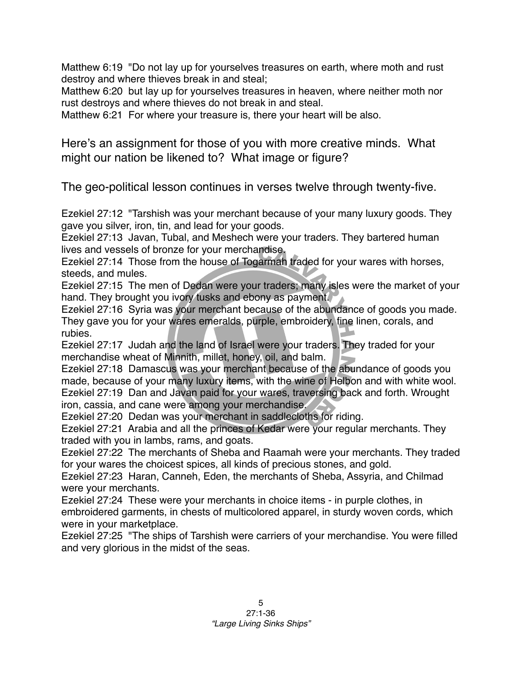Matthew 6:19 "Do not lay up for yourselves treasures on earth, where moth and rust destroy and where thieves break in and steal;

Matthew 6:20 but lay up for yourselves treasures in heaven, where neither moth nor rust destroys and where thieves do not break in and steal.

Matthew 6:21 For where your treasure is, there your heart will be also.

Here's an assignment for those of you with more creative minds. What might our nation be likened to? What image or figure?

The geo-political lesson continues in verses twelve through twenty-five.

Ezekiel 27:12 "Tarshish was your merchant because of your many luxury goods. They gave you silver, iron, tin, and lead for your goods.

Ezekiel 27:13 Javan, Tubal, and Meshech were your traders. They bartered human lives and vessels of bronze for your merchandise.

Ezekiel 27:14 Those from the house of Togarmah traded for your wares with horses, steeds, and mules.

Ezekiel 27:15 The men of Dedan were your traders; many isles were the market of your hand. They brought you ivory tusks and ebony as payment.

Ezekiel 27:16 Syria was your merchant because of the abundance of goods you made. They gave you for your wares emeralds, purple, embroidery, fine linen, corals, and rubies.

Ezekiel 27:17 Judah and the land of Israel were your traders. They traded for your merchandise wheat of Minnith, millet, honey, oil, and balm.

Ezekiel 27:18 Damascus was your merchant because of the abundance of goods you made, because of your many luxury items, with the wine of Helbon and with white wool. Ezekiel 27:19 Dan and Javan paid for your wares, traversing back and forth. Wrought iron, cassia, and cane were among your merchandise.

Ezekiel 27:20 Dedan was your merchant in saddlecloths for riding.

Ezekiel 27:21 Arabia and all the princes of Kedar were your regular merchants. They traded with you in lambs, rams, and goats.

Ezekiel 27:22 The merchants of Sheba and Raamah were your merchants. They traded for your wares the choicest spices, all kinds of precious stones, and gold.

Ezekiel 27:23 Haran, Canneh, Eden, the merchants of Sheba, Assyria, and Chilmad were your merchants.

Ezekiel 27:24 These were your merchants in choice items - in purple clothes, in embroidered garments, in chests of multicolored apparel, in sturdy woven cords, which were in your marketplace.

Ezekiel 27:25 "The ships of Tarshish were carriers of your merchandise. You were filled and very glorious in the midst of the seas.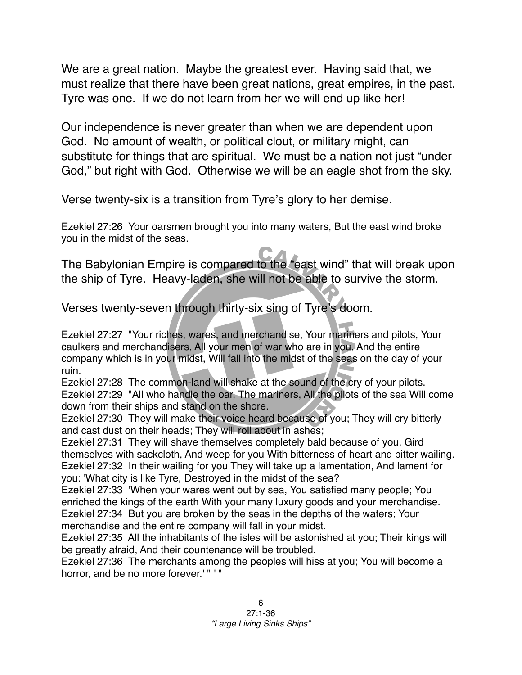We are a great nation. Maybe the greatest ever. Having said that, we must realize that there have been great nations, great empires, in the past. Tyre was one. If we do not learn from her we will end up like her!

Our independence is never greater than when we are dependent upon God. No amount of wealth, or political clout, or military might, can substitute for things that are spiritual. We must be a nation not just "under God," but right with God. Otherwise we will be an eagle shot from the sky.

Verse twenty-six is a transition from Tyre's glory to her demise.

Ezekiel 27:26 Your oarsmen brought you into many waters, But the east wind broke you in the midst of the seas.

The Babylonian Empire is compared to the "east wind" that will break upon the ship of Tyre. Heavy-laden, she will not be able to survive the storm.

Verses twenty-seven through thirty-six sing of Tyre's doom.

Ezekiel 27:27 "Your riches, wares, and merchandise, Your mariners and pilots, Your caulkers and merchandisers, All your men of war who are in you, And the entire company which is in your midst, Will fall into the midst of the seas on the day of your ruin.

Ezekiel 27:28 The common-land will shake at the sound of the cry of your pilots. Ezekiel 27:29 "All who handle the oar, The mariners, All the pilots of the sea Will come down from their ships and stand on the shore.

Ezekiel 27:30 They will make their voice heard because of you; They will cry bitterly and cast dust on their heads; They will roll about in ashes;

Ezekiel 27:31 They will shave themselves completely bald because of you, Gird themselves with sackcloth, And weep for you With bitterness of heart and bitter wailing. Ezekiel 27:32 In their wailing for you They will take up a lamentation, And lament for you: 'What city is like Tyre, Destroyed in the midst of the sea?

Ezekiel 27:33 'When your wares went out by sea, You satisfied many people; You enriched the kings of the earth With your many luxury goods and your merchandise. Ezekiel 27:34 But you are broken by the seas in the depths of the waters; Your merchandise and the entire company will fall in your midst.

Ezekiel 27:35 All the inhabitants of the isles will be astonished at you; Their kings will be greatly afraid, And their countenance will be troubled.

Ezekiel 27:36 The merchants among the peoples will hiss at you; You will become a horror, and be no more forever.' " ' "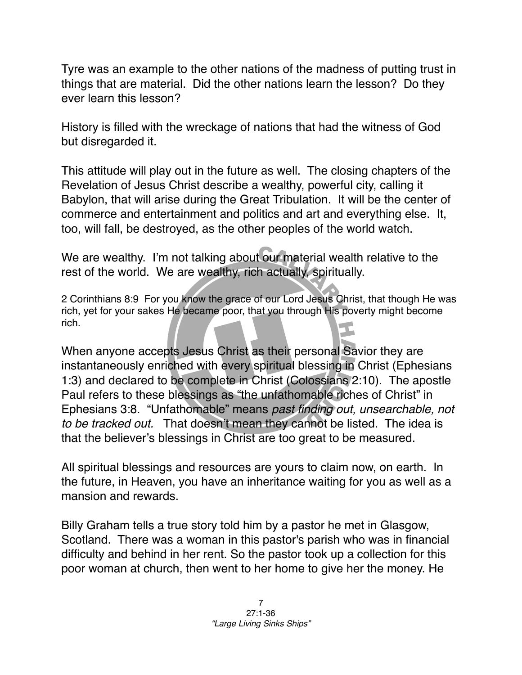Tyre was an example to the other nations of the madness of putting trust in things that are material. Did the other nations learn the lesson? Do they ever learn this lesson?

History is filled with the wreckage of nations that had the witness of God but disregarded it.

This attitude will play out in the future as well. The closing chapters of the Revelation of Jesus Christ describe a wealthy, powerful city, calling it Babylon, that will arise during the Great Tribulation. It will be the center of commerce and entertainment and politics and art and everything else. It, too, will fall, be destroyed, as the other peoples of the world watch.

We are wealthy. I'm not talking about our material wealth relative to the rest of the world. We are wealthy, rich actually, spiritually.

2 Corinthians 8:9 For you know the grace of our Lord Jesus Christ, that though He was rich, yet for your sakes He became poor, that you through His poverty might become rich.

When anyone accepts Jesus Christ as their personal Savior they are instantaneously enriched with every spiritual blessing in Christ (Ephesians 1:3) and declared to be complete in Christ (Colossians 2:10). The apostle Paul refers to these blessings as "the unfathomable riches of Christ" in Ephesians 3:8. "Unfathomable" means *past finding out, unsearchable, not to be tracked out.* That doesn't mean they cannot be listed. The idea is that the believer's blessings in Christ are too great to be measured.

All spiritual blessings and resources are yours to claim now, on earth. In the future, in Heaven, you have an inheritance waiting for you as well as a mansion and rewards.

Billy Graham tells a true story told him by a pastor he met in Glasgow, Scotland. There was a woman in this pastor's parish who was in financial difficulty and behind in her rent. So the pastor took up a collection for this poor woman at church, then went to her home to give her the money. He